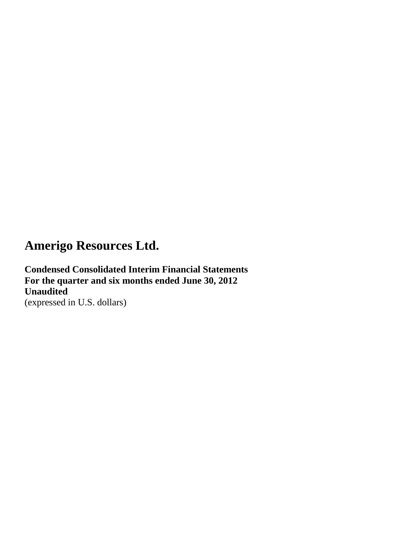**Condensed Consolidated Interim Financial Statements For the quarter and six months ended June 30, 2012 Unaudited** (expressed in U.S. dollars)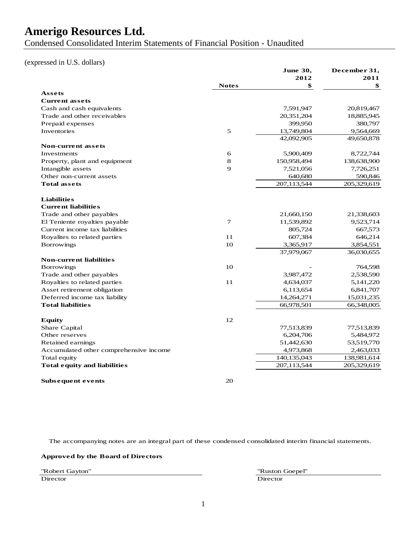Condensed Consolidated Interim Statements of Financial Position - Unaudited

#### (expressed in U.S. dollars)

|                                        |              | June 30,<br>2012 | December 31,<br>2011 |
|----------------------------------------|--------------|------------------|----------------------|
|                                        | <b>Notes</b> | \$               | \$                   |
| Assets                                 |              |                  |                      |
| <b>Current assets</b>                  |              |                  |                      |
| Cash and cash equivalents              |              | 7,591,947        | 20,819,467           |
| Trade and other receivables            |              | 20,351,204       | 18,885,945           |
| Prepaid expenses                       |              | 399,950          | 380,797              |
| Inventories                            | 5            | 13,749,804       | 9,564,669            |
|                                        |              |                  |                      |
| <b>Non-current assets</b>              |              | 42,092,905       | 49,650,878           |
| Investments                            |              | 5,900,409        |                      |
|                                        | 6            |                  | 8,722,744            |
| Property, plant and equipment          | 8            | 150,958,494      | 138,638,900          |
| Intangible assets                      | 9            | 7,521,056        | 7,726,251            |
| Other non-current assets               |              | 640,680          | 590,846              |
| <b>Total assets</b>                    |              | 207,113,544      | 205,329,619          |
|                                        |              |                  |                      |
| <b>Liabilities</b>                     |              |                  |                      |
| <b>Current liabilities</b>             |              |                  |                      |
| Trade and other payables               |              | 21,660,150       | 21,338,603           |
| El Teniente royalties payable          | 7            | 11,539,892       | 9,523,714            |
| Current income tax liabilities         |              | 805,724          | 667,573              |
| Royalites to related parties           | 11           | 607,384          | 646,214              |
| <b>Borrowings</b>                      | 10           | 3,365,917        | 3,854,551            |
|                                        |              | 37,979,067       | 36,030,655           |
| <b>Non-current liabilities</b>         |              |                  |                      |
| <b>Borrowings</b>                      | 10           |                  | 764,598              |
| Trade and other payables               |              | 3,987,472        | 2,538,590            |
| Royalties to related parties           | 11           | 4,634,037        | 5,141,220            |
| Asset retirement obligation            |              | 6,113,654        | 6,841,707            |
| Deferred income tax liability          |              | 14,264,271       | 15,031,235           |
| <b>Total liabilities</b>               |              | 66,978,501       | 66,348,005           |
|                                        |              |                  |                      |
| <b>Equity</b>                          | 12           |                  |                      |
| Share Capital                          |              | 77,513,839       | 77,513,839           |
| Other reserves                         |              | 6,204,706        | 5,484,972            |
| Retained earnings                      |              | 51,442,630       | 53,519,770           |
| Accumulated other comprehensive income |              | 4,973,868        | 2,463,033            |
| Total equity                           |              | 140,135,043      | 138,981,614          |
| <b>Total equity and liabilities</b>    |              | 207,113,544      | 205,329,619          |
|                                        |              |                  |                      |
| Subsequent events                      | 20           |                  |                      |

The accompanying notes are an integral part of these condensed consolidated interim financial statements.

#### **Approved by the Board of Directors**

Director

"Robert Gayton" "Ruston Goepel"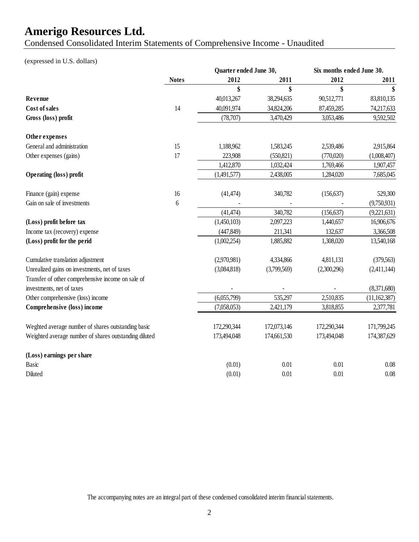Condensed Consolidated Interim Statements of Comprehensive Income - Unaudited

### (expressed in U.S. dollars)

|                                                       |                  | Quarter ended June 30, |             | Six months ended June 30. |              |
|-------------------------------------------------------|------------------|------------------------|-------------|---------------------------|--------------|
|                                                       | <b>Notes</b>     | 2012                   | 2011        | 2012                      | 2011         |
|                                                       |                  | \$                     | \$          | \$                        | \$           |
| Revenue                                               |                  | 40,013,267             | 38,294,635  | 90,512,771                | 83,810,135   |
| <b>Cost of sales</b>                                  | 14               | 40,091,974             | 34,824,206  | 87,459,285                | 74,217,633   |
| Gross (loss) profit                                   |                  | (78, 707)              | 3,470,429   | 3,053,486                 | 9,592,502    |
| Other expenses                                        |                  |                        |             |                           |              |
| General and administration                            | 15               | 1,188,962              | 1,583,245   | 2,539,486                 | 2,915,864    |
| Other expenses (gains)                                | 17               | 223,908                | (550, 821)  | (770,020)                 | (1,008,407)  |
|                                                       |                  | 1,412,870              | 1,032,424   | 1,769,466                 | 1,907,457    |
| <b>Operating (loss) profit</b>                        |                  | (1,491,577)            | 2,438,005   | 1,284,020                 | 7,685,045    |
| Finance (gain) expense                                | 16               | (41, 474)              | 340,782     | (156, 637)                | 529,300      |
| Gain on sale of investments                           | $\boldsymbol{6}$ |                        |             |                           | (9,750,931)  |
|                                                       |                  | (41, 474)              | 340,782     | (156, 637)                | (9,221,631)  |
| (Loss) profit before tax                              |                  | (1,450,103)            | 2,097,223   | 1,440,657                 | 16,906,676   |
| Income tax (recovery) expense                         |                  | (447, 849)             | 211,341     | 132,637                   | 3,366,508    |
| (Loss) profit for the perid                           |                  | (1,002,254)            | 1,885,882   | 1,308,020                 | 13,540,168   |
| Cumulative translation adjustment                     |                  | (2,970,981)            | 4,334,866   | 4,811,131                 | (379, 563)   |
| Unrealized gains on investments, net of taxes         |                  | (3,084,818)            | (3,799,569) | (2,300,296)               | (2,411,144)  |
| Transfer of other comprehensive income on sale of     |                  |                        |             |                           |              |
| investments, net of taxes                             |                  |                        |             |                           | (8,371,680)  |
| Other comprehensive (loss) income                     |                  | (6,055,799)            | 535,297     | 2,510,835                 | (11,162,387) |
| Comprehensive (loss) income                           |                  | (7,058,053)            | 2,421,179   | 3,818,855                 | 2,377,781    |
| Weghted average number of shares outstanding basic    |                  | 172,290,344            | 172,073,146 | 172,290,344               | 171,799,245  |
| Weighted average number of shares outstanding diluted |                  | 173,494,048            | 174,661,530 | 173,494,048               | 174,387,629  |
| (Loss) earnings per share                             |                  |                        |             |                           |              |
| <b>Basic</b>                                          |                  | (0.01)                 | 0.01        | 0.01                      | 0.08         |
| Diluted                                               |                  | (0.01)                 | 0.01        | 0.01                      | 0.08         |

The accompanying notes are an integral part of these condensed consolidated interim financial statements.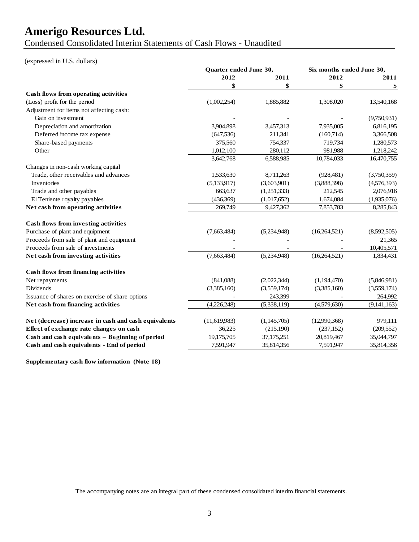Condensed Consolidated Interim Statements of Cash Flows - Unaudited

#### (expressed in U.S. dollars)

|                                                      | <b>Ouarter ended June 30,</b> | Six months ended June 30, |              |             |
|------------------------------------------------------|-------------------------------|---------------------------|--------------|-------------|
|                                                      | 2012<br>2011                  |                           | 2012         | 2011        |
|                                                      |                               | \$                        | \$           | \$          |
| Cash flows from operating activities                 |                               |                           |              |             |
| (Loss) profit for the period                         | (1,002,254)                   | 1,885,882                 | 1,308,020    | 13,540,168  |
| Adjustment for items not affecting cash:             |                               |                           |              |             |
| Gain on investment                                   |                               |                           |              | (9,750,931) |
| Depreciation and amortization                        | 3,904,898                     | 3,457,313                 | 7,935,005    | 6,816,195   |
| Deferred income tax expense                          | (647, 536)                    | 211,341                   | (160,714)    | 3,366,508   |
| Share-based payments                                 | 375,560                       | 754,337                   | 719,734      | 1,280,573   |
| Other                                                | 1,012,100                     | 280,112                   | 981,988      | 1,218,242   |
|                                                      | 3,642,768                     | 6,588,985                 | 10,784,033   | 16,470,755  |
| Changes in non-cash working capital                  |                               |                           |              |             |
| Trade, other receivables and advances                | 1,533,630                     | 8,711,263                 | (928,481)    | (3,750,359) |
| Inventories                                          | (5,133,917)                   | (3,603,901)               | (3,888,398)  | (4,576,393) |
| Trade and other payables                             | 663,637                       | (1,251,333)               | 212,545      | 2,076,916   |
| El Teniente royalty payables                         | (436,369)                     | (1,017,652)               | 1,674,084    | (1,935,076) |
| Net cash from operating activities                   | 269,749                       | 9,427,362                 | 7,853,783    | 8,285,843   |
| Cash flows from investing activities                 |                               |                           |              |             |
| Purchase of plant and equipment                      | (7,663,484)                   | (5,234,948)               | (16,264,521) | (8,592,505) |
| Proceeds from sale of plant and equipment            |                               |                           |              | 21,365      |
| Proceeds from sale of investments                    |                               |                           |              | 10,405,571  |
| Net cash from investing activities                   | (7,663,484)                   | (5,234,948)               | (16,264,521) | 1,834,431   |
| Cash flows from financing activities                 |                               |                           |              |             |
| Net repayments                                       | (841,088)                     | (2,022,344)               | (1,194,470)  | (5,846,981) |
| Dividends                                            | (3,385,160)                   | (3,559,174)               | (3,385,160)  | (3,559,174) |
| Issuance of shares on exercise of share options      |                               | 243,399                   |              | 264,992     |
| Net cash from financing activities                   | (4,226,248)                   | (5,338,119)               | (4,579,630)  | (9,141,163) |
| Net (decrease) increase in cash and cash equivalents | (11,619,983)                  | (1,145,705)               | (12,990,368) | 979,111     |
| Effect of exchange rate changes on cash              | 36,225                        | (215,190)                 | (237, 152)   | (209, 552)  |
| Cash and cash equivalents - Beginning of period      |                               |                           |              |             |
|                                                      | 19,175,705                    | 37,175,251                | 20,819,467   | 35,044,797  |

**Supplementary cash flow information (Note 18)**

The accompanying notes are an integral part of these condensed consolidated interim financial statements.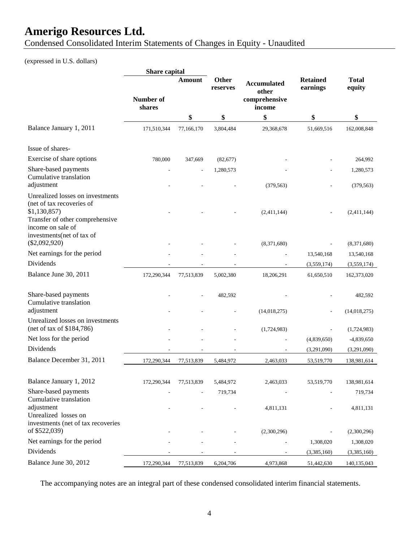Condensed Consolidated Interim Statements of Changes in Equity - Unaudited

### (expressed in U.S. dollars)

|                                                                                   | Share capital       |            |                   |                                                        |                             |                         |
|-----------------------------------------------------------------------------------|---------------------|------------|-------------------|--------------------------------------------------------|-----------------------------|-------------------------|
|                                                                                   | Number of<br>shares | Amount     | Other<br>reserves | <b>Accumulated</b><br>other<br>comprehensive<br>income | <b>Retained</b><br>earnings | <b>Total</b><br>equity  |
|                                                                                   |                     | \$         | \$                | \$                                                     | \$                          | \$                      |
| Balance January 1, 2011                                                           | 171,510,344         | 77,166,170 | 3,804,484         | 29,368,678                                             | 51,669,516                  | 162,008,848             |
| Issue of shares-                                                                  |                     |            |                   |                                                        |                             |                         |
| Exercise of share options                                                         | 780,000             | 347,669    | (82, 677)         |                                                        |                             | 264,992                 |
| Share-based payments<br>Cumulative translation<br>adjustment                      |                     | L,         | 1,280,573         | (379, 563)                                             |                             | 1,280,573<br>(379, 563) |
| Unrealized losses on investments<br>(net of tax recoveries of<br>\$1,130,857      |                     |            |                   | (2,411,144)                                            |                             | (2,411,144)             |
| Transfer of other comprehensive<br>income on sale of<br>investments(net of tax of |                     |            |                   |                                                        |                             |                         |
| $(\$2,092,920)$                                                                   |                     |            |                   | (8,371,680)                                            |                             | (8,371,680)             |
| Net earnings for the period                                                       |                     |            |                   |                                                        | 13,540,168                  | 13,540,168              |
| Dividends                                                                         |                     |            |                   |                                                        | (3,559,174)                 | (3,559,174)             |
| Balance June 30, 2011                                                             | 172,290,344         | 77,513,839 | 5,002,380         | 18,206,291                                             | 61,650,510                  | 162,373,020             |
| Share-based payments<br>Cumulative translation                                    |                     |            | 482,592           |                                                        |                             | 482,592                 |
| adjustment                                                                        |                     |            |                   | (14,018,275)                                           |                             | (14,018,275)            |
| Unrealized losses on investments<br>(net of tax of \$184,786)                     |                     |            |                   | (1,724,983)                                            |                             | (1,724,983)             |
| Net loss for the period                                                           |                     |            |                   |                                                        | (4,839,650)                 | $-4,839,650$            |
| Dividends                                                                         |                     |            |                   |                                                        | (3,291,090)                 | (3,291,090)             |
| Balance December 31, 2011                                                         | 172,290,344         | 77,513,839 | 5,484,972         | 2,463,033                                              | 53,519,770                  | 138,981,614             |
| Balance January 1, 2012                                                           | 172,290,344         | 77,513,839 | 5,484,972         | 2,463,033                                              | 53,519,770                  | 138,981,614             |
| Share-based payments<br>Cumulative translation                                    |                     |            | 719,734           |                                                        |                             | 719,734                 |
| adjustment<br>Unrealized losses on<br>investments (net of tax recoveries          |                     |            |                   | 4,811,131                                              |                             | 4,811,131               |
| of \$522,039)                                                                     |                     |            |                   | (2,300,296)                                            |                             | (2,300,296)             |
| Net earnings for the period                                                       |                     |            |                   |                                                        | 1,308,020                   | 1,308,020               |
| Dividends                                                                         |                     |            |                   |                                                        | (3,385,160)                 | (3,385,160)             |
| Balance June 30, 2012                                                             | 172,290,344         | 77,513,839 | 6,204,706         | 4,973,868                                              | 51,442,630                  | 140,135,043             |

The accompanying notes are an integral part of these condensed consolidated interim financial statements.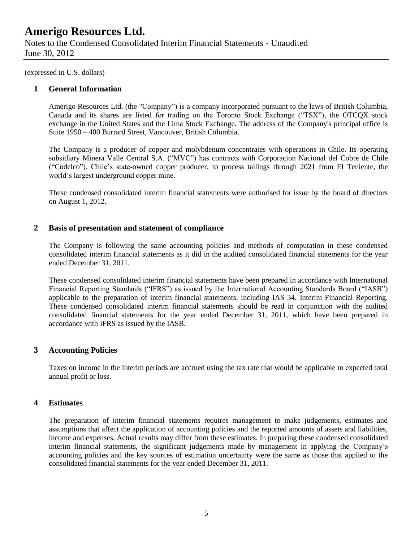Notes to the Condensed Consolidated Interim Financial Statements - Unaudited June 30, 2012

(expressed in U.S. dollars)

### **1 General Information**

Amerigo Resources Ltd. (the "Company") is a company incorporated pursuant to the laws of British Columbia, Canada and its shares are listed for trading on the Toronto Stock Exchange ("TSX"), the OTCQX stock exchange in the United States and the Lima Stock Exchange. The address of the Company's principal office is Suite 1950 – 400 Burrard Street, Vancouver, British Columbia.

The Company is a producer of copper and molybdenum concentrates with operations in Chile. Its operating subsidiary Minera Valle Central S.A. ("MVC") has contracts with Corporacion Nacional del Cobre de Chile ("Codelco"), Chile's state-owned copper producer, to process tailings through 2021 from El Teniente, the world's largest underground copper mine.

These condensed consolidated interim financial statements were authorised for issue by the board of directors on August 1, 2012.

### **2 Basis of presentation and statement of compliance**

The Company is following the same accounting policies and methods of computation in these condensed consolidated interim financial statements as it did in the audited consolidated financial statements for the year ended December 31, 2011.

These condensed consolidated interim financial statements have been prepared in accordance with International Financial Reporting Standards ("IFRS") as issued by the International Accounting Standards Board ("IASB") applicable to the preparation of interim financial statements, including IAS 34, Interim Financial Reporting. These condensed consolidated interim financial statements should be read in conjunction with the audited consolidated financial statements for the year ended December 31, 2011, which have been prepared in accordance with IFRS as issued by the IASB.

### **3 Accounting Policies**

Taxes on income in the interim periods are accrued using the tax rate that would be applicable to expected total annual profit or loss.

#### **4 Estimates**

The preparation of interim financial statements requires management to make judgements, estimates and assumptions that affect the application of accounting policies and the reported amounts of assets and liabilities, income and expenses. Actual results may differ from these estimates. In preparing these condensed consolidated interim financial statements, the significant judgements made by management in applying the Company's accounting policies and the key sources of estimation uncertainty were the same as those that applied to the consolidated financial statements for the year ended December 31, 2011.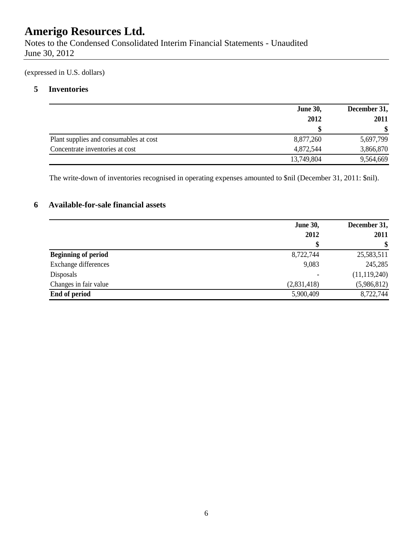Notes to the Condensed Consolidated Interim Financial Statements - Unaudited June 30, 2012

(expressed in U.S. dollars)

### **5 Inventories**

|                                        | <b>June 30,</b> | December 31, |  |
|----------------------------------------|-----------------|--------------|--|
|                                        | 2012            | 2011         |  |
|                                        |                 |              |  |
| Plant supplies and consumables at cost | 8,877,260       | 5,697,799    |  |
| Concentrate inventories at cost        | 4,872,544       | 3,866,870    |  |
|                                        | 13,749,804      | 9,564,669    |  |

The write-down of inventories recognised in operating expenses amounted to \$nil (December 31, 2011: \$nil).

### **6 Available-for-sale financial assets**

|                            | <b>June 30,</b> | December 31,   |  |
|----------------------------|-----------------|----------------|--|
|                            | 2012            | 2011           |  |
|                            | \$              | \$             |  |
| <b>Beginning of period</b> | 8,722,744       | 25,583,511     |  |
| Exchange differences       | 9,083           | 245,285        |  |
| Disposals                  | ۰               | (11, 119, 240) |  |
| Changes in fair value      | (2,831,418)     | (5,986,812)    |  |
| End of period              | 5,900,409       | 8,722,744      |  |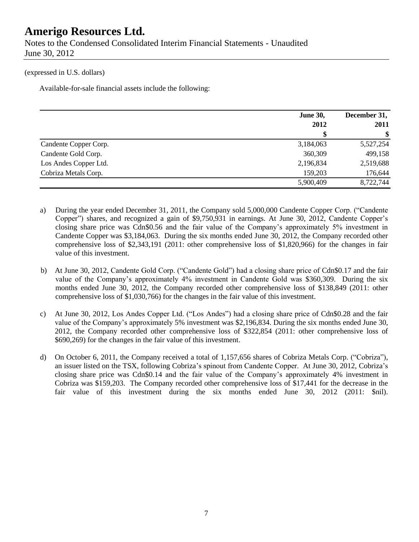Notes to the Condensed Consolidated Interim Financial Statements - Unaudited June 30, 2012

#### (expressed in U.S. dollars)

Available-for-sale financial assets include the following:

|                       | <b>June 30,</b> | December 31, |  |
|-----------------------|-----------------|--------------|--|
|                       | 2012            | 2011         |  |
|                       | \$              | -S           |  |
| Candente Copper Corp. | 3,184,063       | 5,527,254    |  |
| Candente Gold Corp.   | 360,309         | 499,158      |  |
| Los Andes Copper Ltd. | 2,196,834       | 2,519,688    |  |
| Cobriza Metals Corp.  | 159,203         | 176,644      |  |
|                       | 5,900,409       | 8,722,744    |  |

- a) During the year ended December 31, 2011, the Company sold 5,000,000 Candente Copper Corp. ("Candente Copper") shares, and recognized a gain of \$9,750,931 in earnings. At June 30, 2012, Candente Copper's closing share price was Cdn\$0.56 and the fair value of the Company's approximately 5% investment in Candente Copper was \$3,184,063. During the six months ended June 30, 2012, the Company recorded other comprehensive loss of \$2,343,191 (2011: other comprehensive loss of \$1,820,966) for the changes in fair value of this investment.
- b) At June 30, 2012, Candente Gold Corp. ("Candente Gold") had a closing share price of Cdn\$0.17 and the fair value of the Company's approximately 4% investment in Candente Gold was \$360,309. During the six months ended June 30, 2012, the Company recorded other comprehensive loss of \$138,849 (2011: other comprehensive loss of \$1,030,766) for the changes in the fair value of this investment.
- c) At June 30, 2012, Los Andes Copper Ltd. ("Los Andes") had a closing share price of Cdn\$0.28 and the fair value of the Company's approximately 5% investment was \$2,196,834. During the six months ended June 30, 2012, the Company recorded other comprehensive loss of \$322,854 (2011: other comprehensive loss of \$690,269) for the changes in the fair value of this investment.
- d) On October 6, 2011, the Company received a total of 1,157,656 shares of Cobriza Metals Corp. ("Cobriza"), an issuer listed on the TSX, following Cobriza's spinout from Candente Copper. At June 30, 2012, Cobriza's closing share price was Cdn\$0.14 and the fair value of the Company's approximately 4% investment in Cobriza was \$159,203. The Company recorded other comprehensive loss of \$17,441 for the decrease in the fair value of this investment during the six months ended June 30, 2012 (2011: \$nil).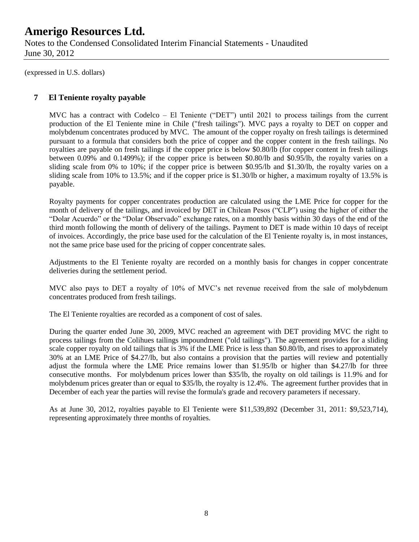Notes to the Condensed Consolidated Interim Financial Statements - Unaudited June 30, 2012

(expressed in U.S. dollars)

### **7 El Teniente royalty payable**

MVC has a contract with Codelco – El Teniente ("DET") until 2021 to process tailings from the current production of the El Teniente mine in Chile ("fresh tailings"). MVC pays a royalty to DET on copper and molybdenum concentrates produced by MVC. The amount of the copper royalty on fresh tailings is determined pursuant to a formula that considers both the price of copper and the copper content in the fresh tailings. No royalties are payable on fresh tailings if the copper price is below \$0.80/lb (for copper content in fresh tailings between 0.09% and 0.1499%); if the copper price is between \$0.80/lb and \$0.95/lb, the royalty varies on a sliding scale from 0% to 10%; if the copper price is between \$0.95/lb and \$1.30/lb, the royalty varies on a sliding scale from 10% to 13.5%; and if the copper price is \$1.30/lb or higher, a maximum royalty of 13.5% is payable.

Royalty payments for copper concentrates production are calculated using the LME Price for copper for the month of delivery of the tailings, and invoiced by DET in Chilean Pesos ("CLP") using the higher of either the "Dolar Acuerdo" or the "Dolar Observado" exchange rates, on a monthly basis within 30 days of the end of the third month following the month of delivery of the tailings. Payment to DET is made within 10 days of receipt of invoices. Accordingly, the price base used for the calculation of the El Teniente royalty is, in most instances, not the same price base used for the pricing of copper concentrate sales.

Adjustments to the El Teniente royalty are recorded on a monthly basis for changes in copper concentrate deliveries during the settlement period.

MVC also pays to DET a royalty of 10% of MVC's net revenue received from the sale of molybdenum concentrates produced from fresh tailings.

The El Teniente royalties are recorded as a component of cost of sales.

During the quarter ended June 30, 2009, MVC reached an agreement with DET providing MVC the right to process tailings from the Colihues tailings impoundment ("old tailings"). The agreement provides for a sliding scale copper royalty on old tailings that is 3% if the LME Price is less than \$0.80/lb, and rises to approximately 30% at an LME Price of \$4.27/lb, but also contains a provision that the parties will review and potentially adjust the formula where the LME Price remains lower than \$1.95/lb or higher than \$4.27/lb for three consecutive months. For molybdenum prices lower than \$35/lb, the royalty on old tailings is 11.9% and for molybdenum prices greater than or equal to \$35/lb, the royalty is 12.4%. The agreement further provides that in December of each year the parties will revise the formula's grade and recovery parameters if necessary.

As at June 30, 2012, royalties payable to El Teniente were \$11,539,892 (December 31, 2011: \$9,523,714), representing approximately three months of royalties.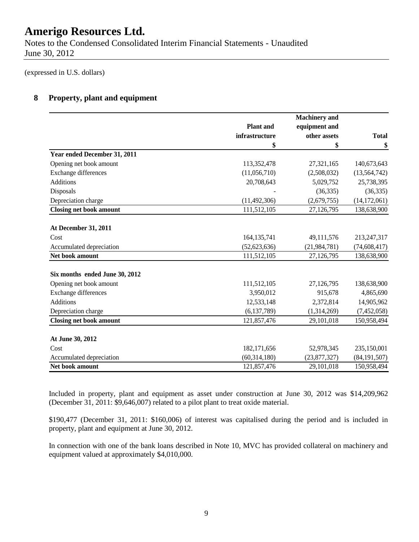Notes to the Condensed Consolidated Interim Financial Statements - Unaudited June 30, 2012

(expressed in U.S. dollars)

### **8 Property, plant and equipment**

|                                |                  | <b>Machinery</b> and |                |
|--------------------------------|------------------|----------------------|----------------|
|                                | <b>Plant</b> and | equipment and        |                |
|                                | infrastructure   | other assets         | <b>Total</b>   |
|                                | \$               | \$                   | \$             |
| Year ended December 31, 2011   |                  |                      |                |
| Opening net book amount        | 113,352,478      | 27,321,165           | 140,673,643    |
| Exchange differences           | (11,056,710)     | (2,508,032)          | (13, 564, 742) |
| <b>Additions</b>               | 20,708,643       | 5,029,752            | 25,738,395     |
| Disposals                      |                  | (36, 335)            | (36, 335)      |
| Depreciation charge            | (11, 492, 306)   | (2,679,755)          | (14, 172, 061) |
| <b>Closing net book amount</b> | 111,512,105      | 27,126,795           | 138,638,900    |
|                                |                  |                      |                |
| <b>At December 31, 2011</b>    |                  |                      |                |
| Cost                           | 164, 135, 741    | 49,111,576           | 213,247,317    |
| Accumulated depreciation       | (52, 623, 636)   | (21, 984, 781)       | (74, 608, 417) |
| Net book amount                | 111,512,105      | 27,126,795           | 138,638,900    |
| Six months ended June 30, 2012 |                  |                      |                |
| Opening net book amount        | 111,512,105      | 27,126,795           | 138,638,900    |
| Exchange differences           | 3,950,012        | 915,678              | 4,865,690      |
| <b>Additions</b>               | 12,533,148       | 2,372,814            | 14,905,962     |
| Depreciation charge            | (6, 137, 789)    | (1,314,269)          | (7,452,058)    |
| <b>Closing net book amount</b> | 121,857,476      | 29,101,018           | 150,958,494    |
|                                |                  |                      |                |
| At June 30, 2012               |                  |                      |                |
| Cost                           | 182,171,656      | 52,978,345           | 235,150,001    |
| Accumulated depreciation       | (60, 314, 180)   | (23,877,327)         | (84, 191, 507) |
| Net book amount                | 121,857,476      | 29,101,018           | 150,958,494    |

Included in property, plant and equipment as asset under construction at June 30, 2012 was \$14,209,962 (December 31, 2011: \$9,646,007) related to a pilot plant to treat oxide material.

\$190,477 (December 31, 2011: \$160,006) of interest was capitalised during the period and is included in property, plant and equipment at June 30, 2012.

In connection with one of the bank loans described in Note 10, MVC has provided collateral on machinery and equipment valued at approximately \$4,010,000.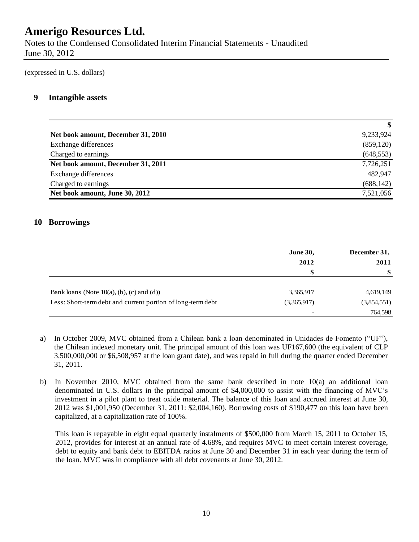Notes to the Condensed Consolidated Interim Financial Statements - Unaudited June 30, 2012

(expressed in U.S. dollars)

### **9 Intangible assets**

|                                    | $\boldsymbol{\mathsf{s}}$ |
|------------------------------------|---------------------------|
| Net book amount, December 31, 2010 | 9,233,924                 |
| Exchange differences               | (859, 120)                |
| Charged to earnings                | (648, 553)                |
| Net book amount, December 31, 2011 | 7,726,251                 |
| Exchange differences               | 482,947                   |
| Charged to earnings                | (688, 142)                |
| Net book amount, June 30, 2012     | 7,521,056                 |

### **10 Borrowings**

|                                                             | <b>June 30,</b>          | December 31, |  |
|-------------------------------------------------------------|--------------------------|--------------|--|
|                                                             | 2012                     | 2011         |  |
|                                                             | \$                       | -\$          |  |
| Bank loans (Note $10(a)$ , (b), (c) and (d))                | 3,365,917                | 4,619,149    |  |
| Less: Short-term debt and current portion of long-term debt | (3,365,917)              | (3,854,551)  |  |
|                                                             | $\overline{\phantom{a}}$ | 764,598      |  |

- a) In October 2009, MVC obtained from a Chilean bank a loan denominated in Unidades de Fomento ("UF"), the Chilean indexed monetary unit. The principal amount of this loan was UF167,600 (the equivalent of CLP 3,500,000,000 or \$6,508,957 at the loan grant date), and was repaid in full during the quarter ended December 31, 2011.
- b) In November 2010, MVC obtained from the same bank described in note 10(a) an additional loan denominated in U.S. dollars in the principal amount of \$4,000,000 to assist with the financing of MVC's investment in a pilot plant to treat oxide material. The balance of this loan and accrued interest at June 30, 2012 was \$1,001,950 (December 31, 2011: \$2,004,160). Borrowing costs of \$190,477 on this loan have been capitalized, at a capitalization rate of 100%.

This loan is repayable in eight equal quarterly instalments of \$500,000 from March 15, 2011 to October 15, 2012, provides for interest at an annual rate of 4.68%, and requires MVC to meet certain interest coverage, debt to equity and bank debt to EBITDA ratios at June 30 and December 31 in each year during the term of the loan. MVC was in compliance with all debt covenants at June 30, 2012.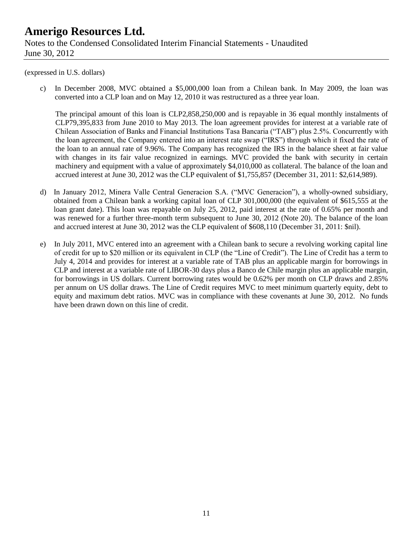### **Amerigo Resources Ltd.** Notes to the Condensed Consolidated Interim Financial Statements - Unaudited June 30, 2012

#### (expressed in U.S. dollars)

c) In December 2008, MVC obtained a \$5,000,000 loan from a Chilean bank. In May 2009, the loan was converted into a CLP loan and on May 12, 2010 it was restructured as a three year loan.

The principal amount of this loan is CLP2,858,250,000 and is repayable in 36 equal monthly instalments of CLP79,395,833 from June 2010 to May 2013. The loan agreement provides for interest at a variable rate of Chilean Association of Banks and Financial Institutions Tasa Bancaria ("TAB") plus 2.5%. Concurrently with the loan agreement, the Company entered into an interest rate swap ("IRS") through which it fixed the rate of the loan to an annual rate of 9.96%. The Company has recognized the IRS in the balance sheet at fair value with changes in its fair value recognized in earnings. MVC provided the bank with security in certain machinery and equipment with a value of approximately \$4,010,000 as collateral. The balance of the loan and accrued interest at June 30, 2012 was the CLP equivalent of \$1,755,857 (December 31, 2011: \$2,614,989).

- d) In January 2012, Minera Valle Central Generacion S.A. ("MVC Generacion"), a wholly-owned subsidiary, obtained from a Chilean bank a working capital loan of CLP 301,000,000 (the equivalent of \$615,555 at the loan grant date). This loan was repayable on July 25, 2012, paid interest at the rate of 0.65% per month and was renewed for a further three-month term subsequent to June 30, 2012 (Note 20). The balance of the loan and accrued interest at June 30, 2012 was the CLP equivalent of \$608,110 (December 31, 2011: \$nil).
- e) In July 2011, MVC entered into an agreement with a Chilean bank to secure a revolving working capital line of credit for up to \$20 million or its equivalent in CLP (the "Line of Credit"). The Line of Credit has a term to July 4, 2014 and provides for interest at a variable rate of TAB plus an applicable margin for borrowings in CLP and interest at a variable rate of LIBOR-30 days plus a Banco de Chile margin plus an applicable margin, for borrowings in US dollars. Current borrowing rates would be 0.62% per month on CLP draws and 2.85% per annum on US dollar draws. The Line of Credit requires MVC to meet minimum quarterly equity, debt to equity and maximum debt ratios. MVC was in compliance with these covenants at June 30, 2012. No funds have been drawn down on this line of credit.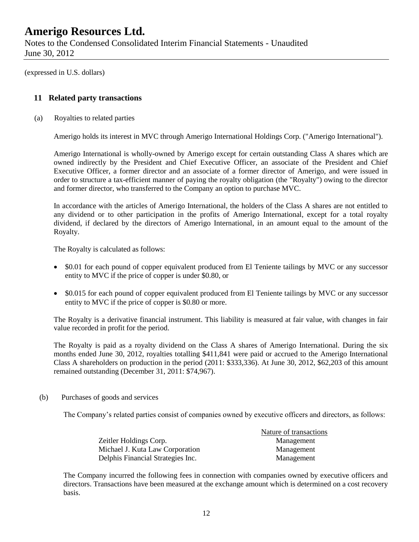Notes to the Condensed Consolidated Interim Financial Statements - Unaudited June 30, 2012

(expressed in U.S. dollars)

### **11 Related party transactions**

(a) Royalties to related parties

Amerigo holds its interest in MVC through Amerigo International Holdings Corp. ("Amerigo International").

Amerigo International is wholly-owned by Amerigo except for certain outstanding Class A shares which are owned indirectly by the President and Chief Executive Officer, an associate of the President and Chief Executive Officer, a former director and an associate of a former director of Amerigo, and were issued in order to structure a tax-efficient manner of paying the royalty obligation (the "Royalty") owing to the director and former director, who transferred to the Company an option to purchase MVC.

In accordance with the articles of Amerigo International, the holders of the Class A shares are not entitled to any dividend or to other participation in the profits of Amerigo International, except for a total royalty dividend, if declared by the directors of Amerigo International, in an amount equal to the amount of the Royalty.

The Royalty is calculated as follows:

- \$0.01 for each pound of copper equivalent produced from El Teniente tailings by MVC or any successor entity to MVC if the price of copper is under \$0.80, or
- \$0.015 for each pound of copper equivalent produced from El Teniente tailings by MVC or any successor entity to MVC if the price of copper is \$0.80 or more.

The Royalty is a derivative financial instrument. This liability is measured at fair value, with changes in fair value recorded in profit for the period.

The Royalty is paid as a royalty dividend on the Class A shares of Amerigo International. During the six months ended June 30, 2012, royalties totalling \$411,841 were paid or accrued to the Amerigo International Class A shareholders on production in the period (2011: \$333,336). At June 30, 2012, \$62,203 of this amount remained outstanding (December 31, 2011: \$74,967).

(b) Purchases of goods and services

The Company's related parties consist of companies owned by executive officers and directors, as follows:

|                                   | Nature of transactions |
|-----------------------------------|------------------------|
| Zeitler Holdings Corp.            | Management             |
| Michael J. Kuta Law Corporation   | Management             |
| Delphis Financial Strategies Inc. | Management             |

The Company incurred the following fees in connection with companies owned by executive officers and directors. Transactions have been measured at the exchange amount which is determined on a cost recovery basis.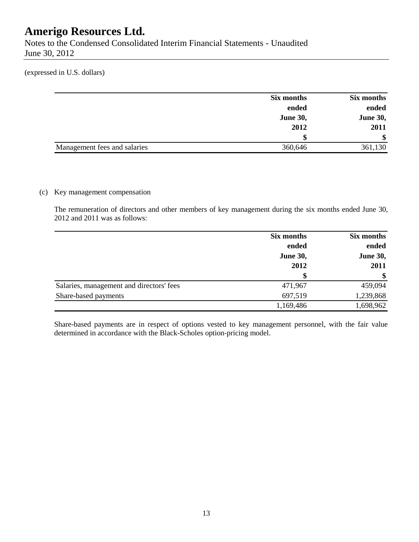Notes to the Condensed Consolidated Interim Financial Statements - Unaudited June 30, 2012

(expressed in U.S. dollars)

|                              | Six months      | Six months      |
|------------------------------|-----------------|-----------------|
|                              | ended           | ended           |
|                              | <b>June 30,</b> | <b>June 30,</b> |
|                              | 2012            | 2011            |
|                              | S               | \$              |
| Management fees and salaries | 360,646         | 361,130         |

### (c) Key management compensation

The remuneration of directors and other members of key management during the six months ended June 30, 2012 and 2011 was as follows:

|                                          | Six months      | Six months               |  |
|------------------------------------------|-----------------|--------------------------|--|
|                                          | ended           | ended<br><b>June 30,</b> |  |
|                                          | <b>June 30,</b> |                          |  |
|                                          | 2012            | 2011                     |  |
|                                          | \$              | $\mathbf{\$}$            |  |
| Salaries, management and directors' fees | 471,967         | 459,094                  |  |
| Share-based payments                     | 697,519         | 1,239,868                |  |
|                                          | 1,169,486       | 1,698,962                |  |

Share-based payments are in respect of options vested to key management personnel, with the fair value determined in accordance with the Black-Scholes option-pricing model.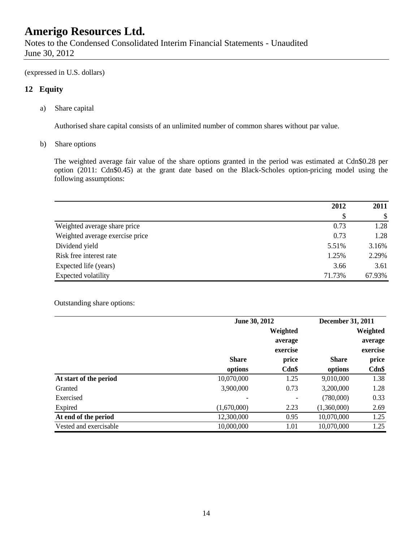Notes to the Condensed Consolidated Interim Financial Statements - Unaudited June 30, 2012

(expressed in U.S. dollars)

### **12 Equity**

a) Share capital

Authorised share capital consists of an unlimited number of common shares without par value.

b) Share options

The weighted average fair value of the share options granted in the period was estimated at Cdn\$0.28 per option (2011: Cdn\$0.45) at the grant date based on the Black-Scholes option-pricing model using the following assumptions:

|                                 | 2012   | 2011   |
|---------------------------------|--------|--------|
|                                 | S      | \$     |
| Weighted average share price    | 0.73   | 1.28   |
| Weighted average exercise price | 0.73   | 1.28   |
| Dividend yield                  | 5.51%  | 3.16%  |
| Risk free interest rate         | 1.25%  | 2.29%  |
| Expected life (years)           | 3.66   | 3.61   |
| Expected volatility             | 71.73% | 67.93% |

#### Outstanding share options:

|                        | June 30, 2012 |          | <b>December 31, 2011</b> |          |
|------------------------|---------------|----------|--------------------------|----------|
|                        |               | Weighted |                          | Weighted |
|                        |               | average  |                          | average  |
|                        |               | exercise |                          | exercise |
|                        | <b>Share</b>  | price    | <b>Share</b>             | price    |
|                        | options       | Cdn\$    | options                  | $Cdn$ \$ |
| At start of the period | 10,070,000    | 1.25     | 9,010,000                | 1.38     |
| Granted                | 3,900,000     | 0.73     | 3,200,000                | 1.28     |
| Exercised              |               |          | (780,000)                | 0.33     |
| Expired                | (1,670,000)   | 2.23     | (1,360,000)              | 2.69     |
| At end of the period   | 12,300,000    | 0.95     | 10,070,000               | 1.25     |
| Vested and exercisable | 10,000,000    | 1.01     | 10,070,000               | 1.25     |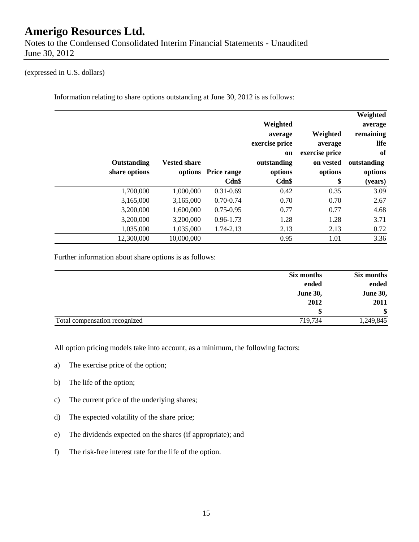Notes to the Condensed Consolidated Interim Financial Statements - Unaudited June 30, 2012

#### (expressed in U.S. dollars)

Information relating to share options outstanding at June 30, 2012 is as follows:

|               |                     |                     | Weighted                  |                     | Weighted<br>average |
|---------------|---------------------|---------------------|---------------------------|---------------------|---------------------|
|               |                     |                     | average<br>exercise price | Weighted<br>average | remaining<br>life   |
|               |                     |                     | on                        | exercise price      | of                  |
| Outstanding   | <b>Vested share</b> |                     | outstanding               | on vested           | outstanding         |
| share options |                     | options Price range | options                   | options             | options             |
|               |                     | Cdn\$               | Cdn\$                     | \$                  | (years)             |
| 1,700,000     | 1,000,000           | $0.31 - 0.69$       | 0.42                      | 0.35                | 3.09                |
| 3,165,000     | 3,165,000           | $0.70 - 0.74$       | 0.70                      | 0.70                | 2.67                |
| 3,200,000     | 1,600,000           | $0.75 - 0.95$       | 0.77                      | 0.77                | 4.68                |
| 3,200,000     | 3,200,000           | $0.96 - 1.73$       | 1.28                      | 1.28                | 3.71                |
| 1,035,000     | 1,035,000           | 1.74-2.13           | 2.13                      | 2.13                | 0.72                |
| 12,300,000    | 10,000,000          |                     | 0.95                      | 1.01                | 3.36                |

Further information about share options is as follows:

| Six months                               | Six months      |
|------------------------------------------|-----------------|
| ended                                    | ended           |
| <b>June 30,</b>                          | <b>June 30,</b> |
| 2012                                     | 2011            |
|                                          | \$              |
| 719,734<br>Total compensation recognized | 1,249,845       |

All option pricing models take into account, as a minimum, the following factors:

- a) The exercise price of the option;
- b) The life of the option;
- c) The current price of the underlying shares;
- d) The expected volatility of the share price;
- e) The dividends expected on the shares (if appropriate); and
- f) The risk-free interest rate for the life of the option.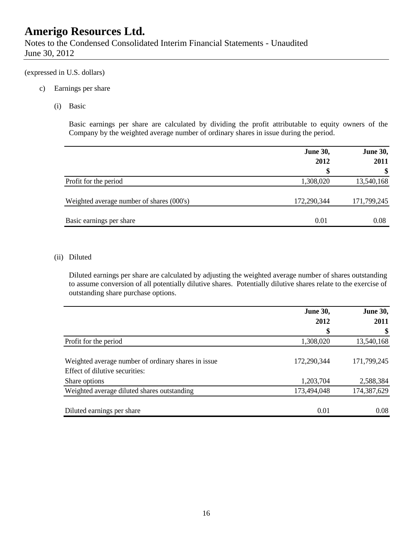Notes to the Condensed Consolidated Interim Financial Statements - Unaudited June 30, 2012

#### (expressed in U.S. dollars)

- c) Earnings per share
	- (i) Basic

Basic earnings per share are calculated by dividing the profit attributable to equity owners of the Company by the weighted average number of ordinary shares in issue during the period.

|                                           | <b>June 30,</b> | <b>June 30,</b> |  |
|-------------------------------------------|-----------------|-----------------|--|
|                                           | 2012            | 2011            |  |
|                                           | \$              | \$              |  |
| Profit for the period                     | 1,308,020       | 13,540,168      |  |
| Weighted average number of shares (000's) | 172,290,344     | 171,799,245     |  |
| Basic earnings per share                  | 0.01            | 0.08            |  |

#### (ii) Diluted

Diluted earnings per share are calculated by adjusting the weighted average number of shares outstanding to assume conversion of all potentially dilutive shares. Potentially dilutive shares relate to the exercise of outstanding share purchase options.

| <b>June 30,</b> | <b>June 30,</b> |  |
|-----------------|-----------------|--|
| 2012            | 2011            |  |
| \$              | \$              |  |
| 1,308,020       | 13,540,168      |  |
|                 |                 |  |
| 172,290,344     | 171,799,245     |  |
|                 |                 |  |
| 1,203,704       | 2,588,384       |  |
| 173,494,048     | 174,387,629     |  |
|                 | 0.08            |  |
|                 | 0.01            |  |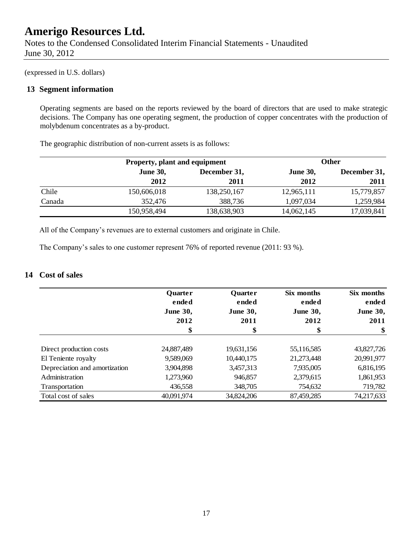Notes to the Condensed Consolidated Interim Financial Statements - Unaudited June 30, 2012

(expressed in U.S. dollars)

#### **13 Segment information**

Operating segments are based on the reports reviewed by the board of directors that are used to make strategic decisions. The Company has one operating segment, the production of copper concentrates with the production of molybdenum concentrates as a by-product.

The geographic distribution of non-current assets is as follows:

|        |                 | Property, plant and equipment |            | <b>Other</b> |  |
|--------|-----------------|-------------------------------|------------|--------------|--|
|        | <b>June 30,</b> | December 31,                  |            | December 31, |  |
|        | 2012            | 2011                          | 2012       | 2011         |  |
| Chile  | 150,606,018     | 138,250,167                   | 12,965,111 | 15,779,857   |  |
| Canada | 352,476         | 388,736                       | 1,097,034  | 1,259,984    |  |
|        | 150,958,494     | 138,638,903                   | 14,062,145 | 17,039,841   |  |

All of the Company's revenues are to external customers and originate in Chile.

The Company's sales to one customer represent 76% of reported revenue (2011: 93 %).

### **14 Cost of sales**

|                               | <b>Quarter</b><br>ended | <b>Quarter</b><br>ended | Six months<br>ended | Six months<br>ended |
|-------------------------------|-------------------------|-------------------------|---------------------|---------------------|
|                               | <b>June 30,</b>         | <b>June 30,</b>         | <b>June 30,</b>     | <b>June 30,</b>     |
|                               | 2012                    | 2011                    | 2012                | 2011                |
|                               | \$                      | \$                      | \$                  | \$                  |
| Direct production costs       | 24,887,489              | 19,631,156              | 55,116,585          | 43,827,726          |
| El Teniente royalty           | 9,589,069               | 10,440,175              | 21,273,448          | 20,991,977          |
| Depreciation and amortization | 3,904,898               | 3,457,313               | 7,935,005           | 6,816,195           |
| Administration                | 1,273,960               | 946,857                 | 2,379,615           | 1,861,953           |
| Transportation                | 436,558                 | 348,705                 | 754,632             | 719,782             |
| Total cost of sales           | 40,091,974              | 34,824,206              | 87,459,285          | 74,217,633          |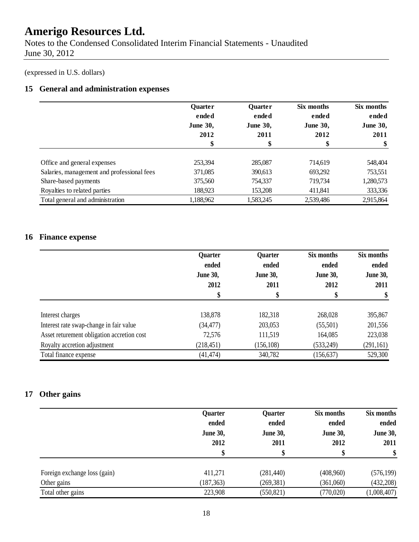Notes to the Condensed Consolidated Interim Financial Statements - Unaudited June 30, 2012

### (expressed in U.S. dollars)

### **15 General and administration expenses**

|                                            | <b>Ouarter</b>  | <b>Quarter</b>  | Six months      | Six months      |
|--------------------------------------------|-----------------|-----------------|-----------------|-----------------|
|                                            | ended           | ended           | ended           | ended           |
|                                            | <b>June 30,</b> | <b>June 30,</b> | <b>June 30,</b> | <b>June 30,</b> |
|                                            | 2012            | 2011            | 2012            | 2011            |
|                                            | \$              | \$              | \$              | \$              |
|                                            |                 |                 |                 |                 |
| Office and general expenses                | 253,394         | 285,087         | 714,619         | 548,404         |
| Salaries, management and professional fees | 371,085         | 390,613         | 693,292         | 753,551         |
| Share-based payments                       | 375,560         | 754,337         | 719,734         | 1,280,573       |
| Royalties to related parties               | 188,923         | 153,208         | 411,841         | 333,336         |
| Total general and administration           | 1,188,962       | 1,583,245       | 2,539,486       | 2,915,864       |

### **16 Finance expense**

|                                            | Quarter<br>ended<br><b>June 30,</b><br>2012 | <b>Quarter</b><br>ended<br><b>June 30,</b><br>2011 | Six months<br>ended<br><b>June 30,</b><br>2012 | Six months<br>ended<br><b>June 30,</b><br>2011 |
|--------------------------------------------|---------------------------------------------|----------------------------------------------------|------------------------------------------------|------------------------------------------------|
|                                            | \$                                          | \$                                                 | \$                                             | \$                                             |
| Interest charges                           | 138,878                                     | 182,318                                            | 268,028                                        | 395,867                                        |
| Interest rate swap-change in fair value    | (34, 477)                                   | 203,053                                            | (55,501)                                       | 201,556                                        |
| Asset returement obligation accretion cost | 72,576                                      | 111,519                                            | 164,085                                        | 223,038                                        |
| Royalty accretion adjustment               | (218, 451)                                  | (156, 108)                                         | (533,249)                                      | (291, 161)                                     |
| Total finance expense                      | (41, 474)                                   | 340,782                                            | (156, 637)                                     | 529,300                                        |

### **17 Other gains**

|                              | Quarter<br>ended<br><b>June 30,</b><br>2012<br>\$ | Quarter<br>ended<br><b>June 30,</b><br>2011 | Six months<br>ended<br><b>June 30,</b><br>2012<br>\$ | Six months<br>ended<br><b>June 30,</b><br>2011<br>\$ |
|------------------------------|---------------------------------------------------|---------------------------------------------|------------------------------------------------------|------------------------------------------------------|
| Foreign exchange loss (gain) | 411,271                                           | (281, 440)                                  | (408,960)                                            | (576, 199)                                           |
| Other gains                  | (187, 363)                                        | (269, 381)                                  | (361,060)                                            | (432, 208)                                           |
| Total other gains            | 223,908                                           | (550, 821)                                  | (770,020)                                            | (1,008,407)                                          |